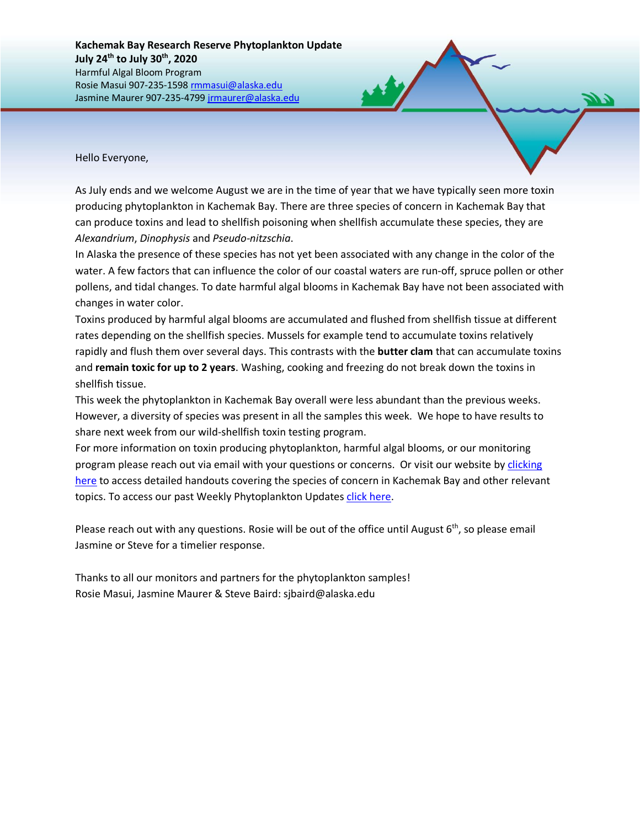Hello Everyone,

As July ends and we welcome August we are in the time of year that we have typically seen more toxin producing phytoplankton in Kachemak Bay. There are three species of concern in Kachemak Bay that can produce toxins and lead to shellfish poisoning when shellfish accumulate these species, they are *Alexandrium*, *Dinophysis* and *Pseudo-nitzschia*.

In Alaska the presence of these species has not yet been associated with any change in the color of the water. A few factors that can influence the color of our coastal waters are run-off, spruce pollen or other pollens, and tidal changes. To date harmful algal blooms in Kachemak Bay have not been associated with changes in water color.

Toxins produced by harmful algal blooms are accumulated and flushed from shellfish tissue at different rates depending on the shellfish species. Mussels for example tend to accumulate toxins relatively rapidly and flush them over several days. This contrasts with the **butter clam** that can accumulate toxins and **remain toxic for up to 2 years**. Washing, cooking and freezing do not break down the toxins in shellfish tissue.

This week the phytoplankton in Kachemak Bay overall were less abundant than the previous weeks. However, a diversity of species was present in all the samples this week. We hope to have results to share next week from our wild-shellfish toxin testing program.

For more information on toxin producing phytoplankton, harmful algal blooms, or our monitoring program please reach out via email with your questions or concerns. Or visit our website by [clicking](https://accs.uaa.alaska.edu/kbnerr/community-monitoring/community-monitor-training-resources/)  [here](https://accs.uaa.alaska.edu/kbnerr/community-monitoring/community-monitor-training-resources/) to access detailed handouts covering the species of concern in Kachemak Bay and other relevant topics. To access our past Weekly Phytoplankton Updates [click here.](https://accs.uaa.alaska.edu/category/kbnerr-harmful-algal-bloom-updates/)

Please reach out with any questions. Rosie will be out of the office until August 6<sup>th</sup>, so please email Jasmine or Steve for a timelier response.

Thanks to all our monitors and partners for the phytoplankton samples! Rosie Masui, Jasmine Maurer & Steve Baird: sjbaird@alaska.edu